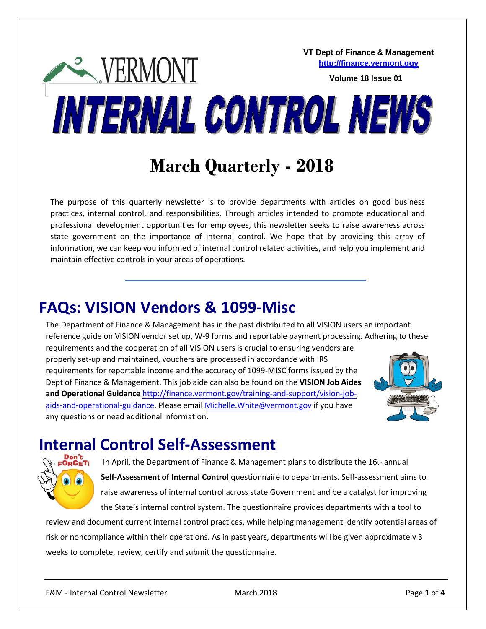# **VT Dept of Finance & Management**  VERMONT **[http://finance.vermont.gov](http://finance.vermont.gov/) Volume 18 Issue 01INTERNAL CONTROL NEWS**

# **March Quarterly - 2018**

The purpose of this quarterly newsletter is to provide departments with articles on good business practices, internal control, and responsibilities. Through articles intended to promote educational and professional development opportunities for employees, this newsletter seeks to raise awareness across state government on the importance of internal control. We hope that by providing this array of information, we can keep you informed of internal control related activities, and help you implement and maintain effective controls in your areas of operations.

### **FAQs: VISION Vendors & 1099-Misc**

The Department of Finance & Management has in the past distributed to all VISION users an important reference guide on VISION vendor set up, W-9 forms and reportable payment processing. Adhering to these requirements and the cooperation of all VISION users is crucial to ensuring vendors are properly set-up and maintained, vouchers are processed in accordance with IRS requirements for reportable income and the accuracy of 1099-MISC forms issued by the Dept of Finance & Management. This job aide can also be found on the **VISION Job Aides and Operational Guidance** [http://finance.vermont.gov/training-and-support/vision-job](http://finance.vermont.gov/training-and-support/vision-job-aids-and-operational-guidance)[aids-and-operational-guidance.](http://finance.vermont.gov/training-and-support/vision-job-aids-and-operational-guidance) Please email [Michelle.White](mailto:michelle.white@vermont.gov)@vermont.gov if you have any questions or need additional information.



# **Internal Control Self-Assessment**<br> **Experiential Control Self-Assessment**



In April, the Department of Finance & Management plans to distribute the 16th annual **Self-Assessment of Internal Control** questionnaire to departments. Self-assessment aims to raise awareness of internal control across state Government and be a catalyst for improving the State's internal control system. The questionnaire provides departments with a tool to

review and document current internal control practices, while helping management identify potential areas of risk or noncompliance within their operations. As in past years, departments will be given approximately 3 weeks to complete, review, certify and submit the questionnaire.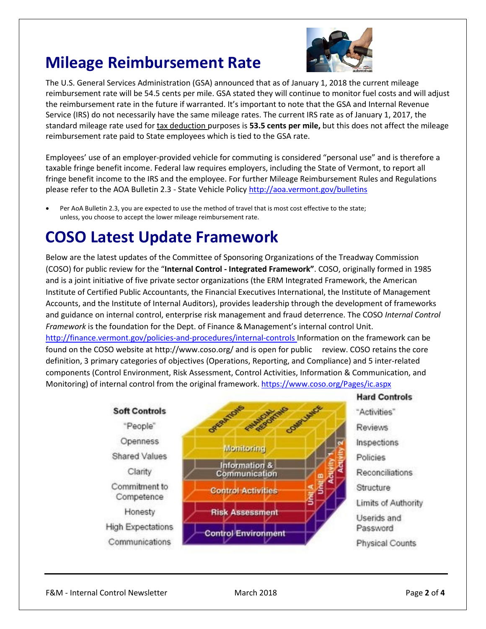### **Mileage Reimbursement Rate**



The U.S. General Services Administration (GSA) announced that as of January 1, 2018 the current mileage reimbursement rate will be 54.5 cents per mile. GSA stated they will continue to monitor fuel costs and will adjust the reimbursement rate in the future if warranted. It's important to note that the GSA and Internal Revenue Service (IRS) do not necessarily have the same mileage rates. The current IRS rate as of January 1, 2017, the standard mileage rate used for tax deduction purposes is **53.5 cents per mile,** but this does not affect the mileage reimbursement rate paid to State employees which is tied to the GSA rate.

Employees' use of an employer-provided vehicle for commuting is considered "personal use" and is therefore a taxable fringe benefit income. Federal law requires employers, including the State of Vermont, to report all fringe benefit income to the IRS and the employee. For further Mileage Reimbursement Rules and Regulations please refer to the AOA Bulletin 2.3 - State Vehicle Policy <http://aoa.vermont.gov/bulletins>

• Per AoA Bulletin 2.3, you are expected to use the method of travel that is most cost effective to the state; unless, you choose to accept the lower mileage reimbursement rate.

### **COSO Latest Update Framework**

Below are the latest updates of the Committee of Sponsoring Organizations of the Treadway Commission (COSO) for public review for the "**Internal Control - Integrated Framework"**. COSO, originally formed in 1985 and is a joint initiative of five private sector organizations (the ERM Integrated Framework, the American Institute of Certified Public Accountants, the Financial Executives International, the Institute of Management Accounts, and the Institute of Internal Auditors), provides leadership through the development of frameworks and guidance on internal control, enterprise risk management and fraud deterrence. The COSO *Internal Control Framework* is the foundation for the Dept. of Finance &Management's internal control Unit.

<http://finance.vermont.gov/policies-and-procedures/internal-controls> Information on the framework can be found on the COSO website at<http://www.coso.org/> and is open for public review. COSO retains the core definition, 3 primary categories of objectives (Operations, Reporting, and Compliance) and 5 inter-related components (Control Environment, Risk Assessment, Control Activities, Information & Communication, and Monitoring) of internal control from the original framework. https://www.coso.org/Pages/ic.aspx

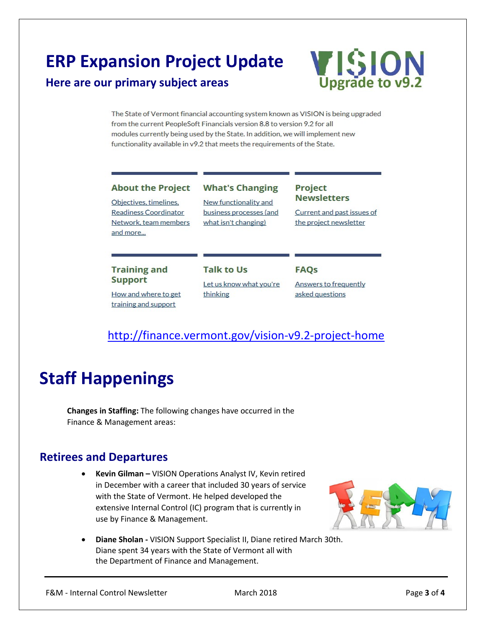# **ERP Expansion Project Update**

### **Here are our primary subject areas**



The State of Vermont financial accounting system known as VISION is being upgraded from the current PeopleSoft Financials version 8.8 to version 9.2 for all modules currently being used by the State. In addition, we will implement new functionality available in v9.2 that meets the requirements of the State.

#### **About the Project**

Objectives, timelines, Readiness Coordinator Network, team members and more...

New functionality and business processes (and what isn't changing)

**What's Changing** 

#### **Project Newsletters**

Current and past issues of the project newsletter

#### **Training and Support**

How and where to get training and support

#### **Talk to Us** Let us know what you're thinking

#### **FAQs**

Answers to frequently asked questions

### <http://finance.vermont.gov/vision-v9.2-project-home>

# **Staff Happenings**

**Changes in Staffing:** The following changes have occurred in the Finance & Management areas:

### **Retirees and Departures**

• **Kevin Gilman –** VISION Operations Analyst IV, Kevin retired in December with a career that included 30 years of service with the State of Vermont. He helped developed the extensive Internal Control (IC) program that is currently in use by Finance & Management.



• **Diane Sholan -** VISION Support Specialist II, Diane retired March 30th. Diane spent 34 years with the State of Vermont all with the Department of Finance and Management.